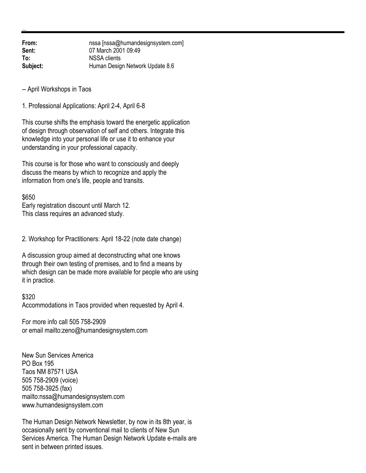**From:** nssa [nssa@humandesignsystem.com] **Sent:** 07 March 2001 09:49 **To:** NSSA clients **Subject:** Human Design Network Update 8.6

-- April Workshops in Taos

1. Professional Applications: April 2-4, April 6-8

This course shifts the emphasis toward the energetic application of design through observation of self and others. Integrate this knowledge into your personal life or use it to enhance your understanding in your professional capacity.

This course is for those who want to consciously and deeply discuss the means by which to recognize and apply the information from one's life, people and transits.

\$650

Early registration discount until March 12. This class requires an advanced study.

2. Workshop for Practitioners: April 18-22 (note date change)

A discussion group aimed at deconstructing what one knows through their own testing of premises, and to find a means by which design can be made more available for people who are using it in practice.

## \$320

Accommodations in Taos provided when requested by April 4.

For more info call 505 758-2909 or email mailto:zeno@humandesignsystem.com

New Sun Services America PO Box 195 Taos NM 87571 USA 505 758-2909 (voice) 505 758-3925 (fax) mailto:nssa@humandesignsystem.com www.humandesignsystem.com

The Human Design Network Newsletter, by now in its 8th year, is occasionally sent by conventional mail to clients of New Sun Services America. The Human Design Network Update e-mails are sent in between printed issues.